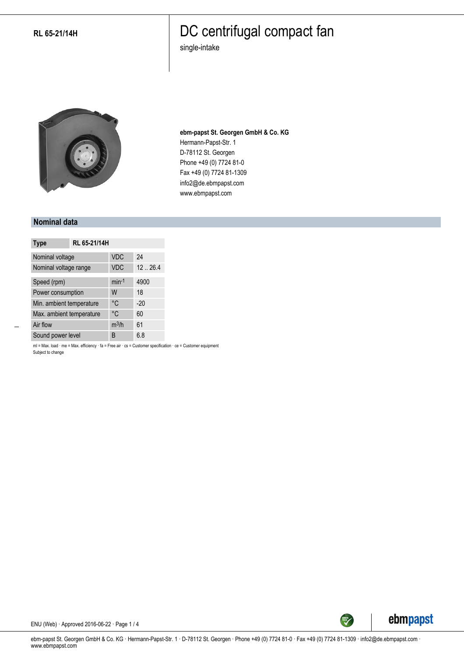### DC centrifugal compact fan

single-intake



**ebm-papst St. Georgen GmbH & Co. KG** Hermann-Papst-Str. 1 D-78112 St. Georgen Phone +49 (0) 7724 81-0 Fax +49 (0) 7724 81-1309 info2@de.ebmpapst.com www.ebmpapst.com

#### **Nominal data**

| <b>Type</b>              | RL 65-21/14H |            |        |
|--------------------------|--------------|------------|--------|
| Nominal voltage          |              | <b>VDC</b> | 24     |
| Nominal voltage range    |              | <b>VDC</b> | 1226.4 |
| Speed (rpm)              |              | $min-1$    | 4900   |
| Power consumption        |              | W          | 18     |
| Min. ambient temperature |              | °C         | $-20$  |
| Max. ambient temperature |              | °C         | 60     |
| Air flow                 |              | $m^3/h$    | 61     |
| Sound power level        |              | B          | 6.8    |

ml = Max. load · me = Max. efficiency · fa = Free air · cs = Customer specification · ce = Customer equipment Subject to change



ENU (Web) · Approved 2016-06-22 · Page 1 / 4

ebm-papst St. Georgen GmbH & Co. KG · Hermann-Papst-Str. 1 · D-78112 St. Georgen · Phone +49 (0) 7724 81-0 · Fax +49 (0) 7724 81-1309 · info2@de.ebmpapst.com · www.ebmpapst.com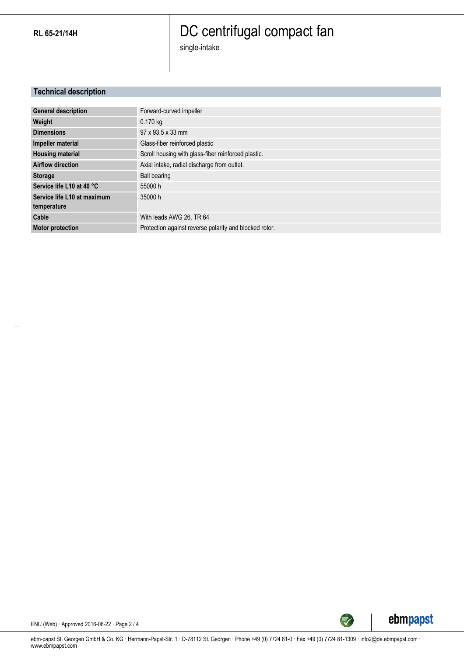# DC centrifugal compact fan

single-intake

### **Technical description**

| <b>General description</b>  | Forward-curved impeller                                |
|-----------------------------|--------------------------------------------------------|
| Weight                      | $0.170$ kg                                             |
| <b>Dimensions</b>           | 97 x 93.5 x 33 mm                                      |
| Impeller material           | Glass-fiber reinforced plastic                         |
| <b>Housing material</b>     | Scroll housing with glass-fiber reinforced plastic.    |
| <b>Airflow direction</b>    | Axial intake, radial discharge from outlet.            |
| <b>Storage</b>              | <b>Ball bearing</b>                                    |
| Service life L10 at 40 °C   | 55000 h                                                |
| Service life L10 at maximum | 35000 h                                                |
| temperature                 |                                                        |
| Cable                       | With leads AWG 26, TR 64                               |
| <b>Motor protection</b>     | Protection against reverse polarity and blocked rotor. |



ENU (Web) · Approved 2016-06-22 · Page 2 / 4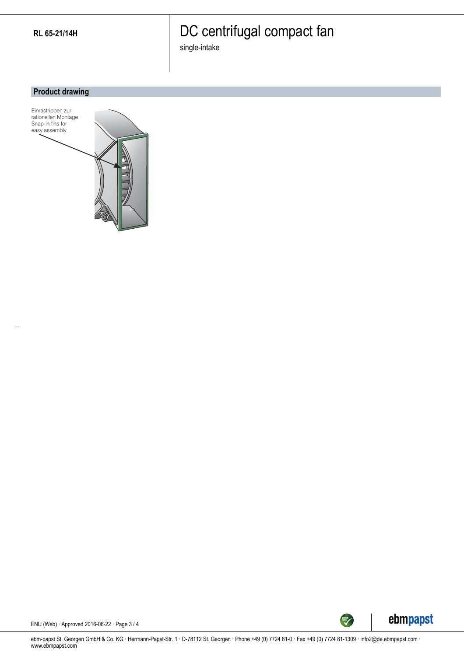# DC centrifugal compact fan

single-intake

#### **Product drawing**





ENU (Web) · Approved 2016-06-22 · Page 3 / 4